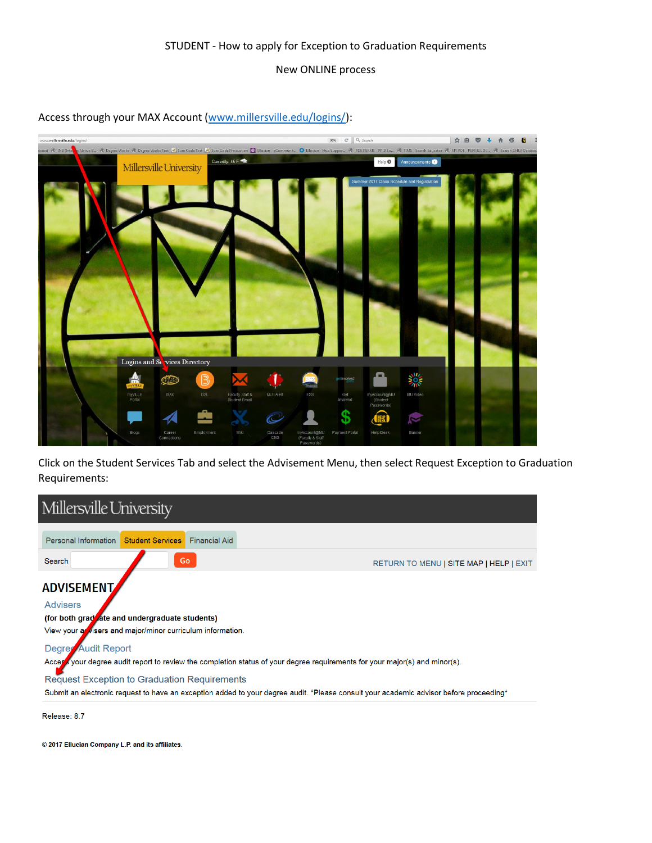## STUDENT - How to apply for Exception to Graduation Requirements

## New ONLINE process

## Access through your MAX Account [\(www.millersville.edu/logins/\)](http://www.millersville.edu/logins/):



Click on the Student Services Tab and select the Advisement Menu, then select Request Exception to Graduation Requirements:



© 2017 Ellucian Company L.P. and its affiliates.